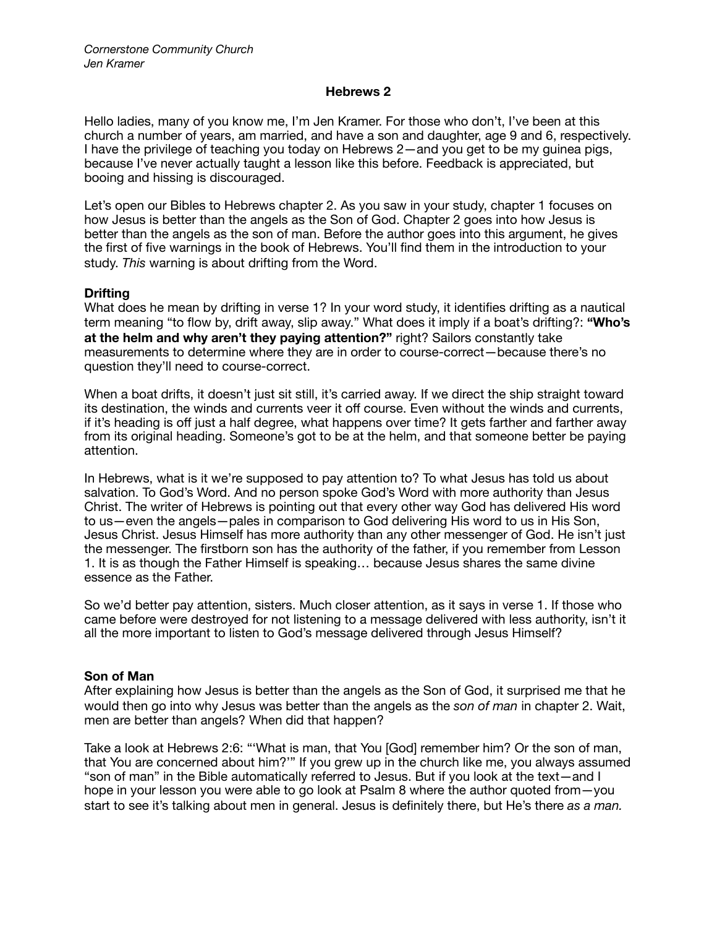### **Hebrews 2**

Hello ladies, many of you know me, I'm Jen Kramer. For those who don't, I've been at this church a number of years, am married, and have a son and daughter, age 9 and 6, respectively. I have the privilege of teaching you today on Hebrews 2—and you get to be my guinea pigs, because I've never actually taught a lesson like this before. Feedback is appreciated, but booing and hissing is discouraged.

Let's open our Bibles to Hebrews chapter 2. As you saw in your study, chapter 1 focuses on how Jesus is better than the angels as the Son of God. Chapter 2 goes into how Jesus is better than the angels as the son of man. Before the author goes into this argument, he gives the first of five warnings in the book of Hebrews. You'll find them in the introduction to your study. *This* warning is about drifting from the Word.

### **Drifting**

What does he mean by drifting in verse 1? In your word study, it identifies drifting as a nautical term meaning "to flow by, drift away, slip away." What does it imply if a boat's drifting?: **"Who's at the helm and why aren't they paying attention?"** right? Sailors constantly take measurements to determine where they are in order to course-correct—because there's no question they'll need to course-correct.

When a boat drifts, it doesn't just sit still, it's carried away. If we direct the ship straight toward its destination, the winds and currents veer it off course. Even without the winds and currents, if it's heading is off just a half degree, what happens over time? It gets farther and farther away from its original heading. Someone's got to be at the helm, and that someone better be paying attention.

In Hebrews, what is it we're supposed to pay attention to? To what Jesus has told us about salvation. To God's Word. And no person spoke God's Word with more authority than Jesus Christ. The writer of Hebrews is pointing out that every other way God has delivered His word to us—even the angels—pales in comparison to God delivering His word to us in His Son, Jesus Christ. Jesus Himself has more authority than any other messenger of God. He isn't just the messenger. The firstborn son has the authority of the father, if you remember from Lesson 1. It is as though the Father Himself is speaking… because Jesus shares the same divine essence as the Father.

So we'd better pay attention, sisters. Much closer attention, as it says in verse 1. If those who came before were destroyed for not listening to a message delivered with less authority, isn't it all the more important to listen to God's message delivered through Jesus Himself?

### **Son of Man**

After explaining how Jesus is better than the angels as the Son of God, it surprised me that he would then go into why Jesus was better than the angels as the *son of man* in chapter 2. Wait, men are better than angels? When did that happen?

Take a look at Hebrews 2:6: "'What is man, that You [God] remember him? Or the son of man, that You are concerned about him?'" If you grew up in the church like me, you always assumed "son of man" in the Bible automatically referred to Jesus. But if you look at the text—and I hope in your lesson you were able to go look at Psalm 8 where the author quoted from—you start to see it's talking about men in general. Jesus is definitely there, but He's there *as a man.*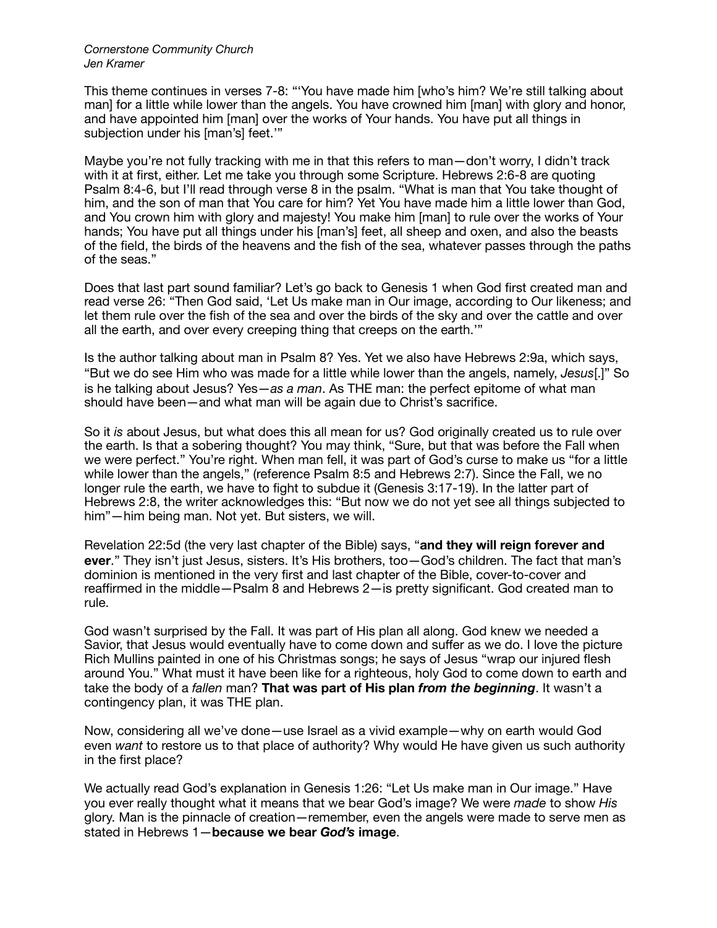This theme continues in verses 7-8: "'You have made him [who's him? We're still talking about man] for a little while lower than the angels. You have crowned him [man] with glory and honor, and have appointed him [man] over the works of Your hands. You have put all things in subjection under his [man's] feet.'"

Maybe you're not fully tracking with me in that this refers to man—don't worry, I didn't track with it at first, either. Let me take you through some Scripture. Hebrews 2:6-8 are quoting Psalm 8:4-6, but I'll read through verse 8 in the psalm. "What is man that You take thought of him, and the son of man that You care for him? Yet You have made him a little lower than God, and You crown him with glory and majesty! You make him [man] to rule over the works of Your hands; You have put all things under his [man's] feet, all sheep and oxen, and also the beasts of the field, the birds of the heavens and the fish of the sea, whatever passes through the paths of the seas."

Does that last part sound familiar? Let's go back to Genesis 1 when God first created man and read verse 26: "Then God said, 'Let Us make man in Our image, according to Our likeness; and let them rule over the fish of the sea and over the birds of the sky and over the cattle and over all the earth, and over every creeping thing that creeps on the earth.'"

Is the author talking about man in Psalm 8? Yes. Yet we also have Hebrews 2:9a, which says, "But we do see Him who was made for a little while lower than the angels, namely, *Jesus*[.]" So is he talking about Jesus? Yes—*as a man*. As THE man: the perfect epitome of what man should have been—and what man will be again due to Christ's sacrifice.

So it *is* about Jesus, but what does this all mean for us? God originally created us to rule over the earth. Is that a sobering thought? You may think, "Sure, but that was before the Fall when we were perfect." You're right. When man fell, it was part of God's curse to make us "for a little while lower than the angels," (reference Psalm 8:5 and Hebrews 2:7). Since the Fall, we no longer rule the earth, we have to fight to subdue it (Genesis 3:17-19). In the latter part of Hebrews 2:8, the writer acknowledges this: "But now we do not yet see all things subjected to him"—him being man. Not yet. But sisters, we will.

Revelation 22:5d (the very last chapter of the Bible) says, "**and they will reign forever and ever**." They isn't just Jesus, sisters. It's His brothers, too—God's children. The fact that man's dominion is mentioned in the very first and last chapter of the Bible, cover-to-cover and reaffirmed in the middle—Psalm 8 and Hebrews 2—is pretty significant. God created man to rule.

God wasn't surprised by the Fall. It was part of His plan all along. God knew we needed a Savior, that Jesus would eventually have to come down and suffer as we do. I love the picture Rich Mullins painted in one of his Christmas songs; he says of Jesus "wrap our injured flesh around You." What must it have been like for a righteous, holy God to come down to earth and take the body of a *fallen* man? **That was part of His plan** *from the beginning*. It wasn't a contingency plan, it was THE plan.

Now, considering all we've done—use Israel as a vivid example—why on earth would God even *want* to restore us to that place of authority? Why would He have given us such authority in the first place?

We actually read God's explanation in Genesis 1:26: "Let Us make man in Our image." Have you ever really thought what it means that we bear God's image? We were *made* to show *His* glory. Man is the pinnacle of creation—remember, even the angels were made to serve men as stated in Hebrews 1—**because we bear** *God's* **image**.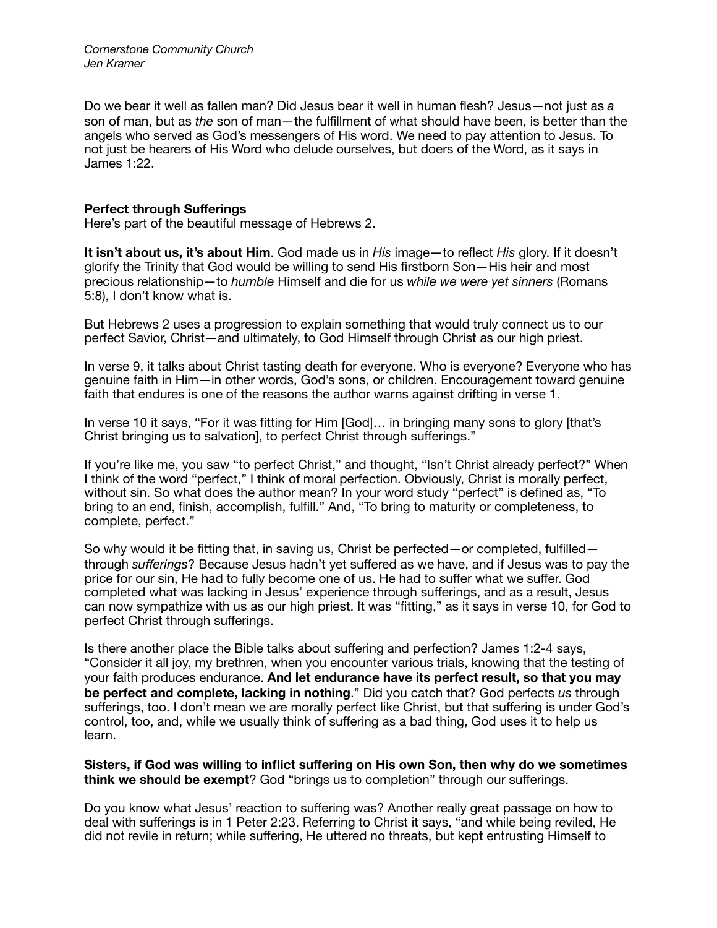Do we bear it well as fallen man? Did Jesus bear it well in human flesh? Jesus—not just as *a*  son of man, but as *the* son of man—the fulfillment of what should have been, is better than the angels who served as God's messengers of His word. We need to pay attention to Jesus. To not just be hearers of His Word who delude ourselves, but doers of the Word, as it says in James 1:22.

## **Perfect through Sufferings**

Here's part of the beautiful message of Hebrews 2.

**It isn't about us, it's about Him**. God made us in *His* image—to reflect *His* glory. If it doesn't glorify the Trinity that God would be willing to send His firstborn Son—His heir and most precious relationship—to *humble* Himself and die for us *while we were yet sinners* (Romans 5:8), I don't know what is.

But Hebrews 2 uses a progression to explain something that would truly connect us to our perfect Savior, Christ—and ultimately, to God Himself through Christ as our high priest.

In verse 9, it talks about Christ tasting death for everyone. Who is everyone? Everyone who has genuine faith in Him—in other words, God's sons, or children. Encouragement toward genuine faith that endures is one of the reasons the author warns against drifting in verse 1.

In verse 10 it says, "For it was fitting for Him [God]… in bringing many sons to glory [that's Christ bringing us to salvation], to perfect Christ through sufferings."

If you're like me, you saw "to perfect Christ," and thought, "Isn't Christ already perfect?" When I think of the word "perfect," I think of moral perfection. Obviously, Christ is morally perfect, without sin. So what does the author mean? In your word study "perfect" is defined as, "To bring to an end, finish, accomplish, fulfill." And, "To bring to maturity or completeness, to complete, perfect."

So why would it be fitting that, in saving us, Christ be perfected—or completed, fulfilled through *sufferings*? Because Jesus hadn't yet suffered as we have, and if Jesus was to pay the price for our sin, He had to fully become one of us. He had to suffer what we suffer. God completed what was lacking in Jesus' experience through sufferings, and as a result, Jesus can now sympathize with us as our high priest. It was "fitting," as it says in verse 10, for God to perfect Christ through sufferings.

Is there another place the Bible talks about suffering and perfection? James 1:2-4 says, "Consider it all joy, my brethren, when you encounter various trials, knowing that the testing of your faith produces endurance. **And let endurance have its perfect result, so that you may be perfect and complete, lacking in nothing**." Did you catch that? God perfects *us* through sufferings, too. I don't mean we are morally perfect like Christ, but that suffering is under God's control, too, and, while we usually think of suffering as a bad thing, God uses it to help us learn.

**Sisters, if God was willing to inflict suffering on His own Son, then why do we sometimes think we should be exempt**? God "brings us to completion" through our sufferings.

Do you know what Jesus' reaction to suffering was? Another really great passage on how to deal with sufferings is in 1 Peter 2:23. Referring to Christ it says, "and while being reviled, He did not revile in return; while suffering, He uttered no threats, but kept entrusting Himself to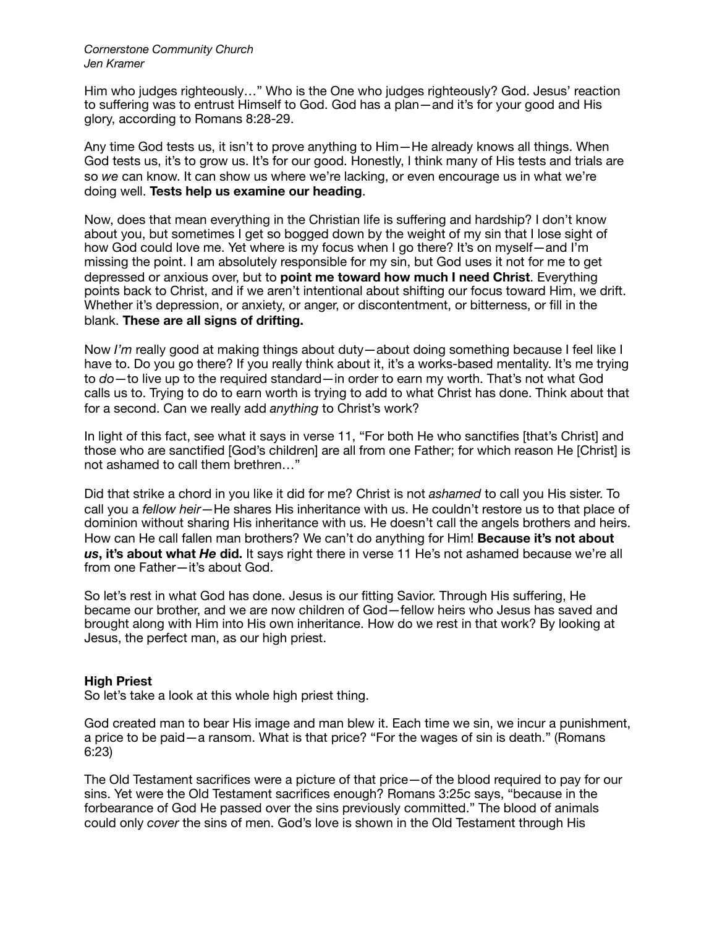Him who judges righteously…" Who is the One who judges righteously? God. Jesus' reaction to suffering was to entrust Himself to God. God has a plan—and it's for your good and His glory, according to Romans 8:28-29.

Any time God tests us, it isn't to prove anything to Him—He already knows all things. When God tests us, it's to grow us. It's for our good. Honestly, I think many of His tests and trials are so *we* can know. It can show us where we're lacking, or even encourage us in what we're doing well. **Tests help us examine our heading**.

Now, does that mean everything in the Christian life is suffering and hardship? I don't know about you, but sometimes I get so bogged down by the weight of my sin that I lose sight of how God could love me. Yet where is my focus when I go there? It's on myself—and I'm missing the point. I am absolutely responsible for my sin, but God uses it not for me to get depressed or anxious over, but to **point me toward how much I need Christ**. Everything points back to Christ, and if we aren't intentional about shifting our focus toward Him, we drift. Whether it's depression, or anxiety, or anger, or discontentment, or bitterness, or fill in the blank. **These are all signs of drifting.**

Now *I'm* really good at making things about duty—about doing something because I feel like I have to. Do you go there? If you really think about it, it's a works-based mentality. It's me trying to *do*—to live up to the required standard—in order to earn my worth. That's not what God calls us to. Trying to do to earn worth is trying to add to what Christ has done. Think about that for a second. Can we really add *anything* to Christ's work?

In light of this fact, see what it says in verse 11, "For both He who sanctifies [that's Christ] and those who are sanctified [God's children] are all from one Father; for which reason He [Christ] is not ashamed to call them brethren…"

Did that strike a chord in you like it did for me? Christ is not *ashamed* to call you His sister. To call you a *fellow heir*—He shares His inheritance with us. He couldn't restore us to that place of dominion without sharing His inheritance with us. He doesn't call the angels brothers and heirs. How can He call fallen man brothers? We can't do anything for Him! **Because it's not about**  *us***, it's about what** *He* **did.** It says right there in verse 11 He's not ashamed because we're all from one Father—it's about God.

So let's rest in what God has done. Jesus is our fitting Savior. Through His suffering, He became our brother, and we are now children of God—fellow heirs who Jesus has saved and brought along with Him into His own inheritance. How do we rest in that work? By looking at Jesus, the perfect man, as our high priest.

# **High Priest**

So let's take a look at this whole high priest thing.

God created man to bear His image and man blew it. Each time we sin, we incur a punishment, a price to be paid—a ransom. What is that price? "For the wages of sin is death." (Romans 6:23)

The Old Testament sacrifices were a picture of that price—of the blood required to pay for our sins. Yet were the Old Testament sacrifices enough? Romans 3:25c says, "because in the forbearance of God He passed over the sins previously committed." The blood of animals could only *cover* the sins of men. God's love is shown in the Old Testament through His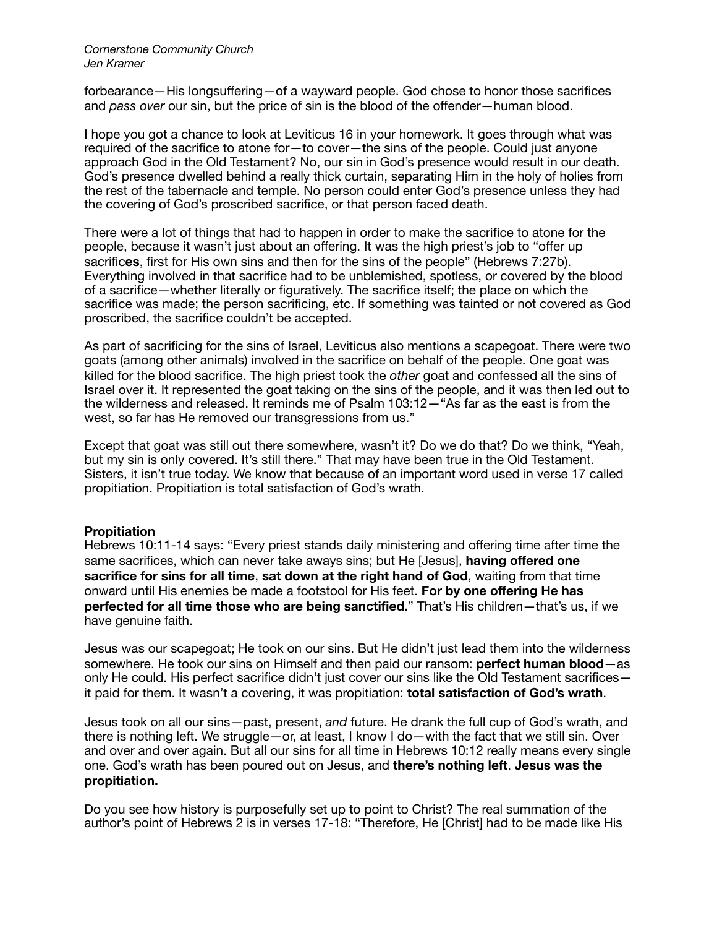forbearance—His longsuffering—of a wayward people. God chose to honor those sacrifices and *pass over* our sin, but the price of sin is the blood of the offender—human blood.

I hope you got a chance to look at Leviticus 16 in your homework. It goes through what was required of the sacrifice to atone for—to cover—the sins of the people. Could just anyone approach God in the Old Testament? No, our sin in God's presence would result in our death. God's presence dwelled behind a really thick curtain, separating Him in the holy of holies from the rest of the tabernacle and temple. No person could enter God's presence unless they had the covering of God's proscribed sacrifice, or that person faced death.

There were a lot of things that had to happen in order to make the sacrifice to atone for the people, because it wasn't just about an offering. It was the high priest's job to "offer up sacrific**es**, first for His own sins and then for the sins of the people" (Hebrews 7:27b). Everything involved in that sacrifice had to be unblemished, spotless, or covered by the blood of a sacrifice—whether literally or figuratively. The sacrifice itself; the place on which the sacrifice was made; the person sacrificing, etc. If something was tainted or not covered as God proscribed, the sacrifice couldn't be accepted.

As part of sacrificing for the sins of Israel, Leviticus also mentions a scapegoat. There were two goats (among other animals) involved in the sacrifice on behalf of the people. One goat was killed for the blood sacrifice. The high priest took the *other* goat and confessed all the sins of Israel over it. It represented the goat taking on the sins of the people, and it was then led out to the wilderness and released. It reminds me of Psalm 103:12—"As far as the east is from the west, so far has He removed our transgressions from us."

Except that goat was still out there somewhere, wasn't it? Do we do that? Do we think, "Yeah, but my sin is only covered. It's still there." That may have been true in the Old Testament. Sisters, it isn't true today. We know that because of an important word used in verse 17 called propitiation. Propitiation is total satisfaction of God's wrath.

# **Propitiation**

Hebrews 10:11-14 says: "Every priest stands daily ministering and offering time after time the same sacrifices, which can never take aways sins; but He [Jesus], **having offered one sacrifice for sins for all time**, **sat down at the right hand of God**, waiting from that time onward until His enemies be made a footstool for His feet. **For by one offering He has perfected for all time those who are being sanctified.**" That's His children—that's us, if we have genuine faith.

Jesus was our scapegoat; He took on our sins. But He didn't just lead them into the wilderness somewhere. He took our sins on Himself and then paid our ransom: **perfect human blood**—as only He could. His perfect sacrifice didn't just cover our sins like the Old Testament sacrifices it paid for them. It wasn't a covering, it was propitiation: **total satisfaction of God's wrath**.

Jesus took on all our sins—past, present, *and* future. He drank the full cup of God's wrath, and there is nothing left. We struggle—or, at least, I know I do—with the fact that we still sin. Over and over and over again. But all our sins for all time in Hebrews 10:12 really means every single one. God's wrath has been poured out on Jesus, and **there's nothing left**. **Jesus was the propitiation.**

Do you see how history is purposefully set up to point to Christ? The real summation of the author's point of Hebrews 2 is in verses 17-18: "Therefore, He [Christ] had to be made like His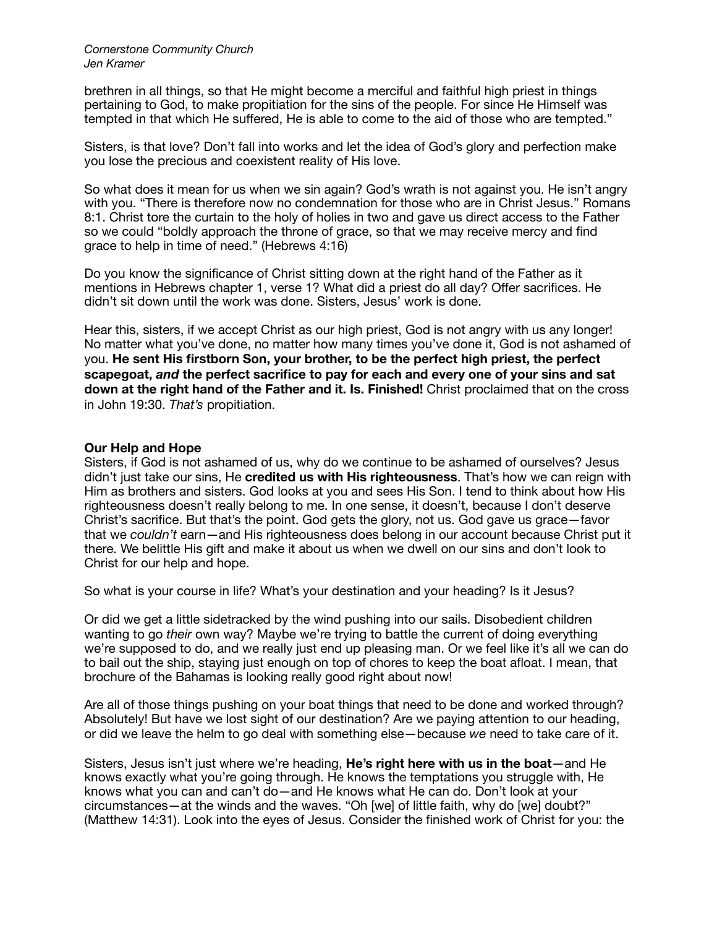brethren in all things, so that He might become a merciful and faithful high priest in things pertaining to God, to make propitiation for the sins of the people. For since He Himself was tempted in that which He suffered, He is able to come to the aid of those who are tempted."

Sisters, is that love? Don't fall into works and let the idea of God's glory and perfection make you lose the precious and coexistent reality of His love.

So what does it mean for us when we sin again? God's wrath is not against you. He isn't angry with you. "There is therefore now no condemnation for those who are in Christ Jesus." Romans 8:1. Christ tore the curtain to the holy of holies in two and gave us direct access to the Father so we could "boldly approach the throne of grace, so that we may receive mercy and find grace to help in time of need." (Hebrews 4:16)

Do you know the significance of Christ sitting down at the right hand of the Father as it mentions in Hebrews chapter 1, verse 1? What did a priest do all day? Offer sacrifices. He didn't sit down until the work was done. Sisters, Jesus' work is done.

Hear this, sisters, if we accept Christ as our high priest, God is not angry with us any longer! No matter what you've done, no matter how many times you've done it, God is not ashamed of you. **He sent His firstborn Son, your brother, to be the perfect high priest, the perfect scapegoat,** *and* **the perfect sacrifice to pay for each and every one of your sins and sat down at the right hand of the Father and it. Is. Finished!** Christ proclaimed that on the cross in John 19:30. *That's* propitiation.

### **Our Help and Hope**

Sisters, if God is not ashamed of us, why do we continue to be ashamed of ourselves? Jesus didn't just take our sins, He **credited us with His righteousness**. That's how we can reign with Him as brothers and sisters. God looks at you and sees His Son. I tend to think about how His righteousness doesn't really belong to me. In one sense, it doesn't, because I don't deserve Christ's sacrifice. But that's the point. God gets the glory, not us. God gave us grace—favor that we *couldn't* earn—and His righteousness does belong in our account because Christ put it there. We belittle His gift and make it about us when we dwell on our sins and don't look to Christ for our help and hope.

So what is your course in life? What's your destination and your heading? Is it Jesus?

Or did we get a little sidetracked by the wind pushing into our sails. Disobedient children wanting to go *their* own way? Maybe we're trying to battle the current of doing everything we're supposed to do, and we really just end up pleasing man. Or we feel like it's all we can do to bail out the ship, staying just enough on top of chores to keep the boat afloat. I mean, that brochure of the Bahamas is looking really good right about now!

Are all of those things pushing on your boat things that need to be done and worked through? Absolutely! But have we lost sight of our destination? Are we paying attention to our heading, or did we leave the helm to go deal with something else—because *we* need to take care of it.

Sisters, Jesus isn't just where we're heading, **He's right here with us in the boat**—and He knows exactly what you're going through. He knows the temptations you struggle with, He knows what you can and can't do—and He knows what He can do. Don't look at your circumstances—at the winds and the waves. "Oh [we] of little faith, why do [we] doubt?" (Matthew 14:31). Look into the eyes of Jesus. Consider the finished work of Christ for you: the